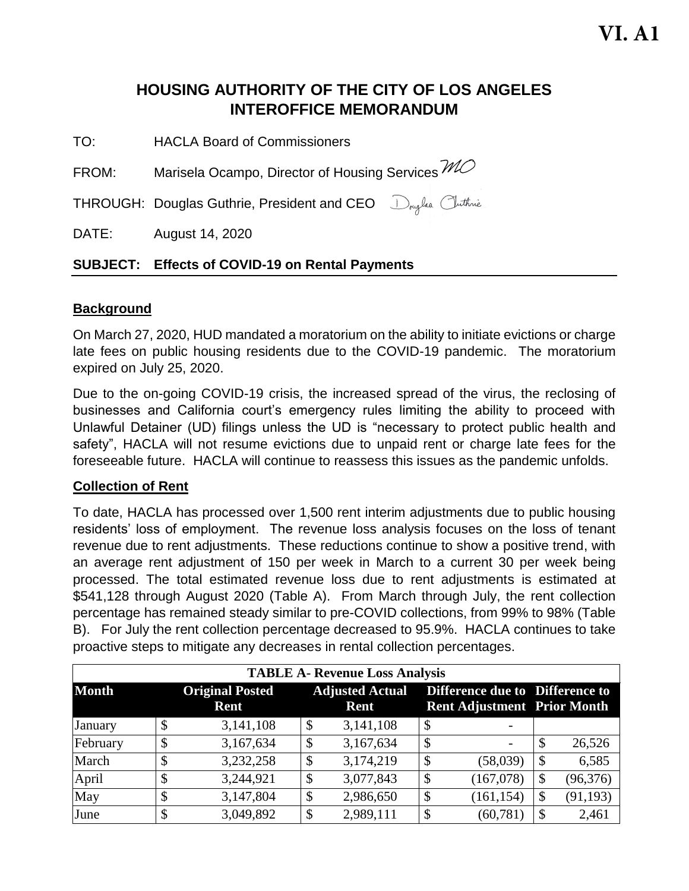# **HOUSING AUTHORITY OF THE CITY OF LOS ANGELES INTEROFFICE MEMORANDUM**

TO: HACLA Board of Commissioners

FROM: Marisela Ocampo, Director of Housing Services  $M\!\!\mathcal{O}$ 

THROUGH: Douglas Guthrie, President and CEO Douglas Cluthnie

DATE: August 14, 2020

# **SUBJECT: Effects of COVID-19 on Rental Payments**

### **Background**

On March 27, 2020, HUD mandated a moratorium on the ability to initiate evictions or charge late fees on public housing residents due to the COVID-19 pandemic. The moratorium expired on July 25, 2020.

Due to the on-going COVID-19 crisis, the increased spread of the virus, the reclosing of businesses and California court's emergency rules limiting the ability to proceed with Unlawful Detainer (UD) filings unless the UD is "necessary to protect public health and safety", HACLA will not resume evictions due to unpaid rent or charge late fees for the foreseeable future. HACLA will continue to reassess this issues as the pandemic unfolds.

# **Collection of Rent**

To date, HACLA has processed over 1,500 rent interim adjustments due to public housing residents' loss of employment. The revenue loss analysis focuses on the loss of tenant revenue due to rent adjustments. These reductions continue to show a positive trend, with an average rent adjustment of 150 per week in March to a current 30 per week being processed. The total estimated revenue loss due to rent adjustments is estimated at \$541,128 through August 2020 (Table A). From March through July, the rent collection percentage has remained steady similar to pre-COVID collections, from 99% to 98% (Table B). For July the rent collection percentage decreased to 95.9%. HACLA continues to take proactive steps to mitigate any decreases in rental collection percentages.

| <b>TABLE A- Revenue Loss Analysis</b> |    |                                |    |                                |                                                                       |                           |           |
|---------------------------------------|----|--------------------------------|----|--------------------------------|-----------------------------------------------------------------------|---------------------------|-----------|
| <b>Month</b>                          |    | <b>Original Posted</b><br>Rent |    | <b>Adjusted Actual</b><br>Rent | Difference due to Difference to<br><b>Rent Adjustment Prior Month</b> |                           |           |
| January                               | \$ | 3,141,108                      | \$ | 3,141,108                      | \$                                                                    |                           |           |
| February                              | \$ | 3,167,634                      | \$ | 3,167,634                      | \$<br>-                                                               | $\boldsymbol{\mathsf{S}}$ | 26,526    |
| March                                 | \$ | 3,232,258                      | \$ | 3,174,219                      | \$<br>(58,039)                                                        | $\boldsymbol{\mathsf{S}}$ | 6,585     |
| April                                 | \$ | 3,244,921                      | \$ | 3,077,843                      | \$<br>(167,078)                                                       | \$                        | (96, 376) |
| May                                   | \$ | 3,147,804                      | \$ | 2,986,650                      | \$<br>(161, 154)                                                      | \$                        | (91, 193) |
| June                                  | \$ | 3,049,892                      | \$ | 2,989,111                      | \$<br>(60, 781)                                                       | $\boldsymbol{\mathsf{S}}$ | 2,461     |